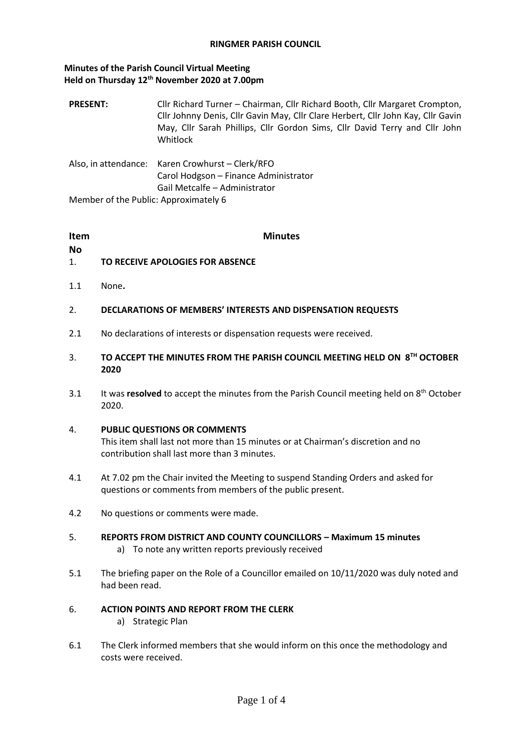#### **Minutes of the Parish Council Virtual Meeting Held on Thursday 12th November 2020 at 7.00pm**

**PRESENT:** Cllr Richard Turner – Chairman, Cllr Richard Booth, Cllr Margaret Crompton, Cllr Johnny Denis, Cllr Gavin May, Cllr Clare Herbert, Cllr John Kay, Cllr Gavin May, Cllr Sarah Phillips, Cllr Gordon Sims, Cllr David Terry and Cllr John Whitlock

Also, in attendance: Karen Crowhurst – Clerk/RFO Carol Hodgson – Finance Administrator Gail Metcalfe – Administrator Member of the Public: Approximately 6

#### **Item**

#### **Minutes**

- **No**
- 1. **TO RECEIVE APOLOGIES FOR ABSENCE**
- 1.1 None**.**
- 2. **DECLARATIONS OF MEMBERS' INTERESTS AND DISPENSATION REQUESTS**
- 2.1 No declarations of interests or dispensation requests were received.
- 3. **TO ACCEPT THE MINUTES FROM THE PARISH COUNCIL MEETING HELD ON 8TH OCTOBER 2020**
- 3.1 It was **resolved** to accept the minutes from the Parish Council meeting held on 8<sup>th</sup> October 2020.

#### 4. **PUBLIC QUESTIONS OR COMMENTS**

This item shall last not more than 15 minutes or at Chairman's discretion and no contribution shall last more than 3 minutes.

- 4.1 At 7.02 pm the Chair invited the Meeting to suspend Standing Orders and asked for questions or comments from members of the public present.
- 4.2 No questions or comments were made.
- 5. **REPORTS FROM DISTRICT AND COUNTY COUNCILLORS – Maximum 15 minutes** a) To note any written reports previously received
- 5.1 The briefing paper on the Role of a Councillor emailed on 10/11/2020 was duly noted and had been read.

#### 6. **ACTION POINTS AND REPORT FROM THE CLERK**

- a) Strategic Plan
- 6.1 The Clerk informed members that she would inform on this once the methodology and costs were received.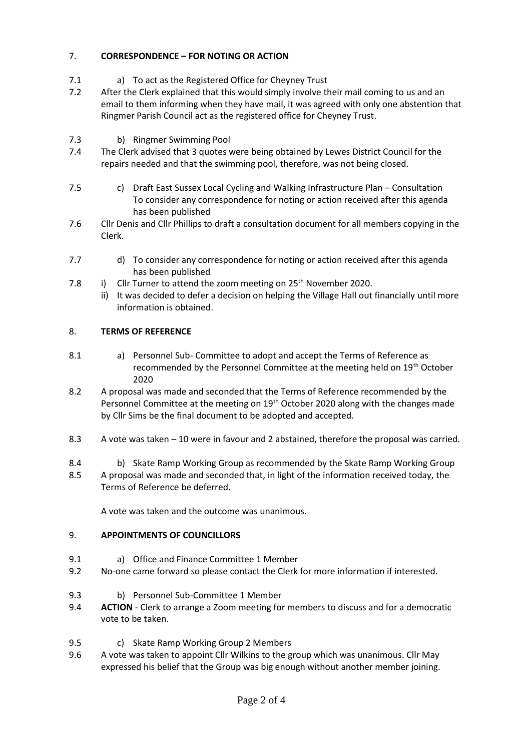# 7. **CORRESPONDENCE – FOR NOTING OR ACTION**

- 7.1 a) To act as the Registered Office for Cheyney Trust
- 7.2 After the Clerk explained that this would simply involve their mail coming to us and an email to them informing when they have mail, it was agreed with only one abstention that Ringmer Parish Council act as the registered office for Cheyney Trust.
- 7.3 b) Ringmer Swimming Pool
- 7.4 The Clerk advised that 3 quotes were being obtained by Lewes District Council for the repairs needed and that the swimming pool, therefore, was not being closed.
- 7.5 c) Draft East Sussex Local Cycling and Walking Infrastructure Plan Consultation To consider any correspondence for noting or action received after this agenda has been published
- 7.6 Cllr Denis and Cllr Phillips to draft a consultation document for all members copying in the Clerk.
- 7.7 d) To consider any correspondence for noting or action received after this agenda has been published
- 7.8 i) Cllr Turner to attend the zoom meeting on  $25<sup>th</sup>$  November 2020.
	- ii) It was decided to defer a decision on helping the Village Hall out financially until more information is obtained.

## 8. **TERMS OF REFERENCE**

- 8.1 a) Personnel Sub- Committee to adopt and accept the Terms of Reference as recommended by the Personnel Committee at the meeting held on 19<sup>th</sup> October 2020
- 8.2 A proposal was made and seconded that the Terms of Reference recommended by the Personnel Committee at the meeting on  $19<sup>th</sup>$  October 2020 along with the changes made by Cllr Sims be the final document to be adopted and accepted.
- 8.3 A vote was taken 10 were in favour and 2 abstained, therefore the proposal was carried.
- 8.4 b) Skate Ramp Working Group as recommended by the Skate Ramp Working Group
- 8.5 A proposal was made and seconded that, in light of the information received today, the Terms of Reference be deferred.

A vote was taken and the outcome was unanimous.

## 9. **APPOINTMENTS OF COUNCILLORS**

- 9.1 a) Office and Finance Committee 1 Member
- 9.2 No-one came forward so please contact the Clerk for more information if interested.
- 9.3 b) Personnel Sub-Committee 1 Member
- 9.4 **ACTION** Clerk to arrange a Zoom meeting for members to discuss and for a democratic vote to be taken.
- 9.5 c) Skate Ramp Working Group 2 Members
- 9.6 A vote was taken to appoint Cllr Wilkins to the group which was unanimous. Cllr May expressed his belief that the Group was big enough without another member joining.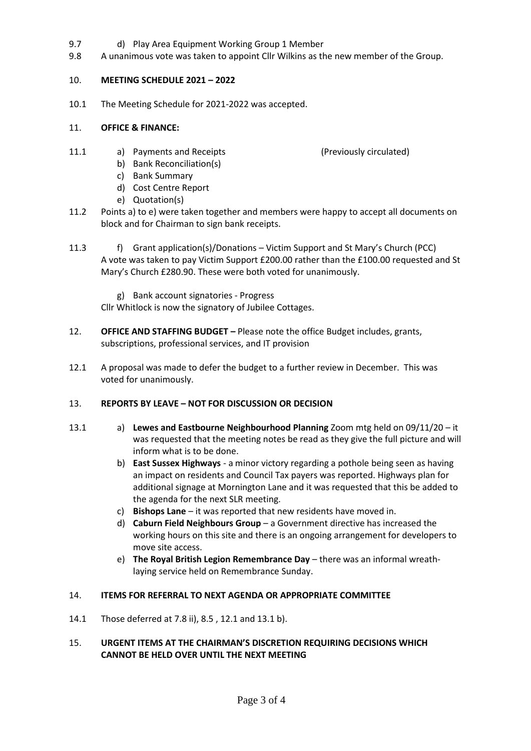- 9.7 d) Play Area Equipment Working Group 1 Member
- 9.8 A unanimous vote was taken to appoint Cllr Wilkins as the new member of the Group.

## 10. **MEETING SCHEDULE 2021 – 2022**

10.1 The Meeting Schedule for 2021-2022 was accepted.

#### 11. **OFFICE & FINANCE:**

- 11.1 a) Payments and Receipts (Previously circulated)
	- b) Bank Reconciliation(s)
	- c) Bank Summary
	- d) Cost Centre Report
	- e) Quotation(s)
- 11.2 Points a) to e) were taken together and members were happy to accept all documents on block and for Chairman to sign bank receipts.
- 11.3 f) Grant application(s)/Donations Victim Support and St Mary's Church (PCC) A vote was taken to pay Victim Support £200.00 rather than the £100.00 requested and St Mary's Church £280.90. These were both voted for unanimously.
	- g) Bank account signatories Progress

Cllr Whitlock is now the signatory of Jubilee Cottages.

- 12. **OFFICE AND STAFFING BUDGET –** Please note the office Budget includes, grants, subscriptions, professional services, and IT provision
- 12.1 A proposal was made to defer the budget to a further review in December. This was voted for unanimously.

## 13. **REPORTS BY LEAVE – NOT FOR DISCUSSION OR DECISION**

- 13.1 a) **Lewes and Eastbourne Neighbourhood Planning** Zoom mtg held on 09/11/20 it was requested that the meeting notes be read as they give the full picture and will inform what is to be done.
	- b) **East Sussex Highways** a minor victory regarding a pothole being seen as having an impact on residents and Council Tax payers was reported. Highways plan for additional signage at Mornington Lane and it was requested that this be added to the agenda for the next SLR meeting.
	- c) **Bishops Lane**  it was reported that new residents have moved in.
	- d) **Caburn Field Neighbours Group** a Government directive has increased the working hours on this site and there is an ongoing arrangement for developers to move site access.
	- e) **The Royal British Legion Remembrance Day** there was an informal wreathlaying service held on Remembrance Sunday.

## 14. **ITEMS FOR REFERRAL TO NEXT AGENDA OR APPROPRIATE COMMITTEE**

14.1 Those deferred at 7.8 ii), 8.5 , 12.1 and 13.1 b).

#### 15. **URGENT ITEMS AT THE CHAIRMAN'S DISCRETION REQUIRING DECISIONS WHICH CANNOT BE HELD OVER UNTIL THE NEXT MEETING**